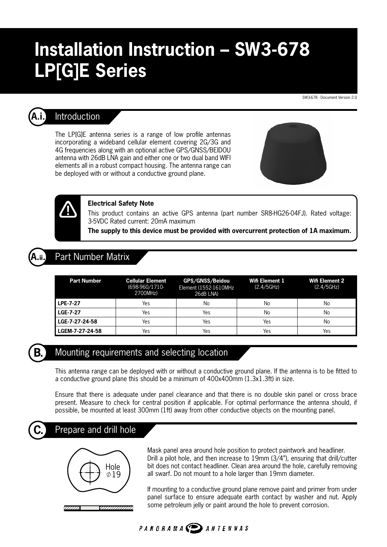# **Installation Instruction – SW3-678 LP[G]E Series**

SW3-678 - Document Version 2.0



## **A.i.** Introduction

The LP[G]E antenna series is a range of low profile antennas incorporating a wideband cellular element covering 2G/3G and 4G frequencies along with an optional active GPS/GNSS/BEIDOU antenna with 26dB LNA gain and either one or two dual band WIFI elements all in a robust compact housing. The antenna range can be deployed with or without a conductive ground plane.





#### **Electrical Safety Note**

This product contains an active GPS antenna (part number SR8-HG26-04FJ). Rated voltage: 3-5VDC Rated current: 20mA maximum

**The supply to this device must be provided with overcurrent protection of 1A maximum.**

## **Part Number Matrix**

| <b>Part Number</b> | <b>Cellular Element</b><br>(698-960/1710-<br>2700MHz) | GPS/GNSS/Beidou<br>Element (1552-1610MHz<br>26dB LNA) | Wifi Element 1<br>(2.4/5GHz) | <b>Wifi Element 2</b><br>(2.4/5GHz) |
|--------------------|-------------------------------------------------------|-------------------------------------------------------|------------------------------|-------------------------------------|
| LPE-7-27           | Yes                                                   | No                                                    | No                           | No                                  |
| LGE-7-27           | Yes                                                   | Yes                                                   | No                           | No                                  |
| LGE-7-27-24-58     | Yes                                                   | Yes                                                   | Yes                          | No                                  |
| LGEM-7-27-24-58    | Yes                                                   | Yes                                                   | Yes                          | Yes                                 |



## **B.** Mounting requirements and selecting location

This antenna range can be deployed with or without a conductive ground plane. If the antenna is to be fitted to a conductive ground plane this should be a minimum of 400x400mm (1.3x1.3ft) in size.

Ensure that there is adequate under panel clearance and that there is no double skin panel or cross brace present. Measure to check for central position if applicable. For optimal performance the antenna should, if possible, be mounted at least 300mm (1ft) away from other conductive objects on the mounting panel.

# **C.** Prepare and drill hole



Mask panel area around hole position to protect paintwork and headliner. Drill a pilot hole, and then increase to 19mm (3/4"), ensuring that drill/cutter bit does not contact headliner. Clean area around the hole, carefully removing all swarf. Do not mount to a hole larger than 19mm diameter.

If mounting to a conductive ground plane remove paint and primer from under panel surface to ensure adequate earth contact by washer and nut. Apply some petroleum jelly or paint around the hole to prevent corrosion.